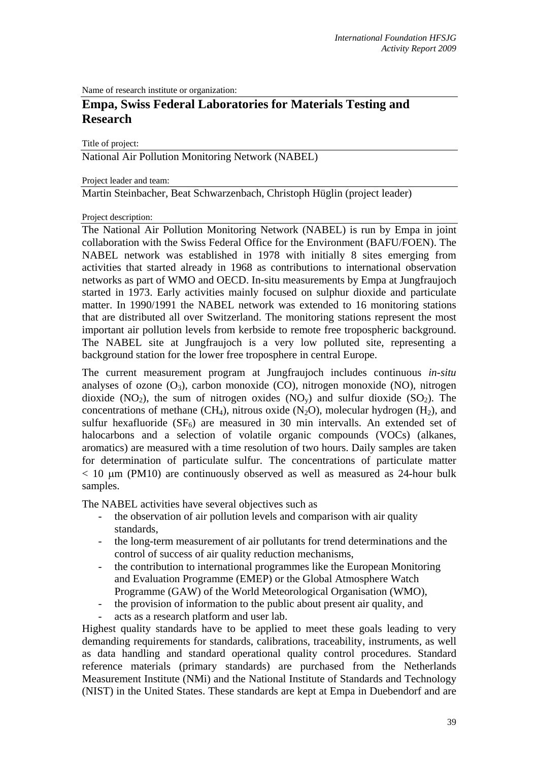Name of research institute or organization:

## **Empa, Swiss Federal Laboratories for Materials Testing and Research**

Title of project:

National Air Pollution Monitoring Network (NABEL)

Project leader and team:

Martin Steinbacher, Beat Schwarzenbach, Christoph Hüglin (project leader)

Project description:

The National Air Pollution Monitoring Network (NABEL) is run by Empa in joint collaboration with the Swiss Federal Office for the Environment (BAFU/FOEN). The NABEL network was established in 1978 with initially 8 sites emerging from activities that started already in 1968 as contributions to international observation networks as part of WMO and OECD. In-situ measurements by Empa at Jungfraujoch started in 1973. Early activities mainly focused on sulphur dioxide and particulate matter. In 1990/1991 the NABEL network was extended to 16 monitoring stations that are distributed all over Switzerland. The monitoring stations represent the most important air pollution levels from kerbside to remote free tropospheric background. The NABEL site at Jungfraujoch is a very low polluted site, representing a background station for the lower free troposphere in central Europe.

The current measurement program at Jungfraujoch includes continuous *in-situ* analyses of ozone  $(O_3)$ , carbon monoxide  $(CO)$ , nitrogen monoxide  $(NO)$ , nitrogen dioxide (NO<sub>2</sub>), the sum of nitrogen oxides (NO<sub>y</sub>) and sulfur dioxide (SO<sub>2</sub>). The concentrations of methane (CH<sub>4</sub>), nitrous oxide (N<sub>2</sub>O), molecular hydrogen (H<sub>2</sub>), and sulfur hexafluoride  $(SF_6)$  are measured in 30 min intervalls. An extended set of halocarbons and a selection of volatile organic compounds (VOCs) (alkanes, aromatics) are measured with a time resolution of two hours. Daily samples are taken for determination of particulate sulfur. The concentrations of particulate matter  $< 10$  µm (PM10) are continuously observed as well as measured as 24-hour bulk samples.

The NABEL activities have several objectives such as

- the observation of air pollution levels and comparison with air quality standards,
- the long-term measurement of air pollutants for trend determinations and the control of success of air quality reduction mechanisms,
- the contribution to international programmes like the European Monitoring and Evaluation Programme (EMEP) or the Global Atmosphere Watch Programme (GAW) of the World Meteorological Organisation (WMO),
- the provision of information to the public about present air quality, and
- acts as a research platform and user lab.

Highest quality standards have to be applied to meet these goals leading to very demanding requirements for standards, calibrations, traceability, instruments, as well as data handling and standard operational quality control procedures. Standard reference materials (primary standards) are purchased from the Netherlands Measurement Institute (NMi) and the National Institute of Standards and Technology (NIST) in the United States. These standards are kept at Empa in Duebendorf and are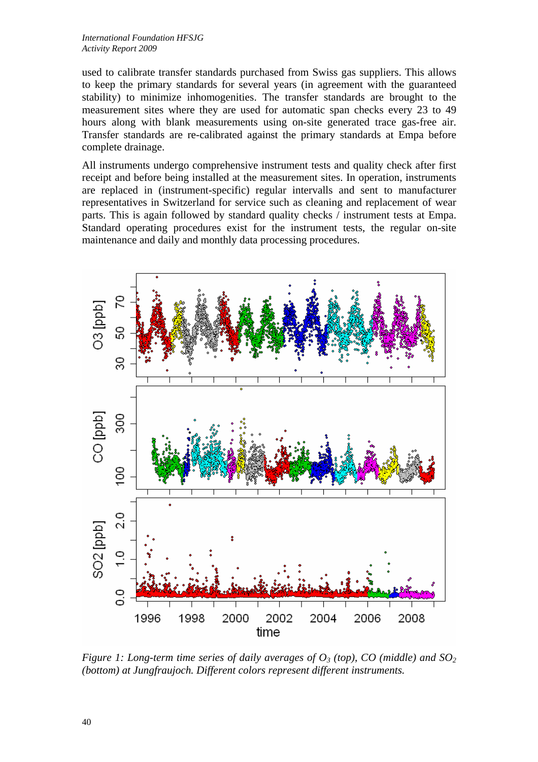used to calibrate transfer standards purchased from Swiss gas suppliers. This allows to keep the primary standards for several years (in agreement with the guaranteed stability) to minimize inhomogenities. The transfer standards are brought to the measurement sites where they are used for automatic span checks every 23 to 49 hours along with blank measurements using on-site generated trace gas-free air. Transfer standards are re-calibrated against the primary standards at Empa before complete drainage.

All instruments undergo comprehensive instrument tests and quality check after first receipt and before being installed at the measurement sites. In operation, instruments are replaced in (instrument-specific) regular intervalls and sent to manufacturer representatives in Switzerland for service such as cleaning and replacement of wear parts. This is again followed by standard quality checks / instrument tests at Empa. Standard operating procedures exist for the instrument tests, the regular on-site maintenance and daily and monthly data processing procedures.



*Figure 1: Long-term time series of daily averages of O<sub>3</sub> (top), CO (middle) and SO<sub>2</sub> (bottom) at Jungfraujoch. Different colors represent different instruments.*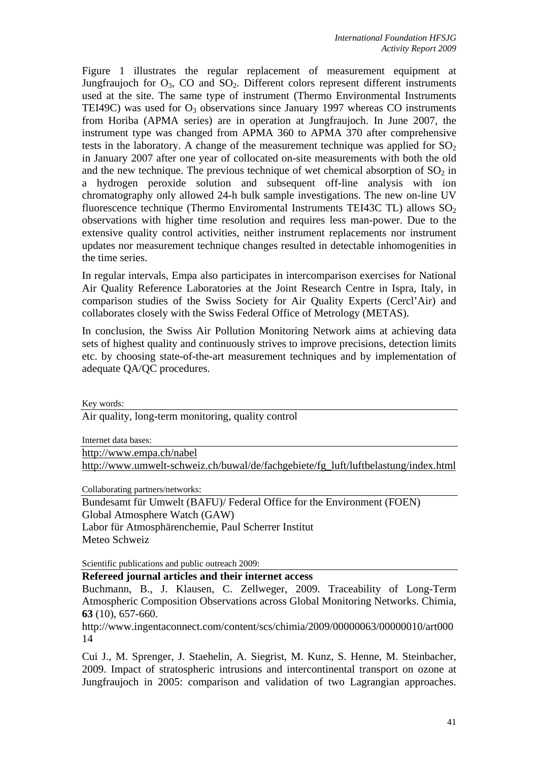Figure 1 illustrates the regular replacement of measurement equipment at Jungfraujoch for  $O_3$ , CO and  $SO_2$ . Different colors represent different instruments used at the site. The same type of instrument (Thermo Environmental Instruments TEI49C) was used for  $O_3$  observations since January 1997 whereas CO instruments from Horiba (APMA series) are in operation at Jungfraujoch. In June 2007, the instrument type was changed from APMA 360 to APMA 370 after comprehensive tests in the laboratory. A change of the measurement technique was applied for  $SO_2$ in January 2007 after one year of collocated on-site measurements with both the old and the new technique. The previous technique of wet chemical absorption of  $SO<sub>2</sub>$  in a hydrogen peroxide solution and subsequent off-line analysis with ion chromatography only allowed 24-h bulk sample investigations. The new on-line UV fluorescence technique (Thermo Enviromental Instruments TEI43C TL) allows  $SO_2$ observations with higher time resolution and requires less man-power. Due to the extensive quality control activities, neither instrument replacements nor instrument updates nor measurement technique changes resulted in detectable inhomogenities in the time series.

In regular intervals, Empa also participates in intercomparison exercises for National Air Quality Reference Laboratories at the Joint Research Centre in Ispra, Italy, in comparison studies of the Swiss Society for Air Quality Experts (Cercl'Air) and collaborates closely with the Swiss Federal Office of Metrology (METAS).

In conclusion, the Swiss Air Pollution Monitoring Network aims at achieving data sets of highest quality and continuously strives to improve precisions, detection limits etc. by choosing state-of-the-art measurement techniques and by implementation of adequate QA/QC procedures.

Key words:

Air quality, long-term monitoring, quality control

Internet data bases:

http://www.empa.ch/nabel

http://www.umwelt-schweiz.ch/buwal/de/fachgebiete/fg\_luft/luftbelastung/index.html

Collaborating partners/networks:

Bundesamt für Umwelt (BAFU)/ Federal Office for the Environment (FOEN) Global Atmosphere Watch (GAW) Labor für Atmosphärenchemie, Paul Scherrer Institut Meteo Schweiz

Scientific publications and public outreach 2009:

## **Refereed journal articles and their internet access**

Buchmann, B., J. Klausen, C. Zellweger, 2009. Traceability of Long-Term Atmospheric Composition Observations across Global Monitoring Networks. Chimia, **63** (10), 657-660.

http://www.ingentaconnect.com/content/scs/chimia/2009/00000063/00000010/art000 14

Cui J., M. Sprenger, J. Staehelin, A. Siegrist, M. Kunz, S. Henne, M. Steinbacher, 2009. Impact of stratospheric intrusions and intercontinental transport on ozone at Jungfraujoch in 2005: comparison and validation of two Lagrangian approaches.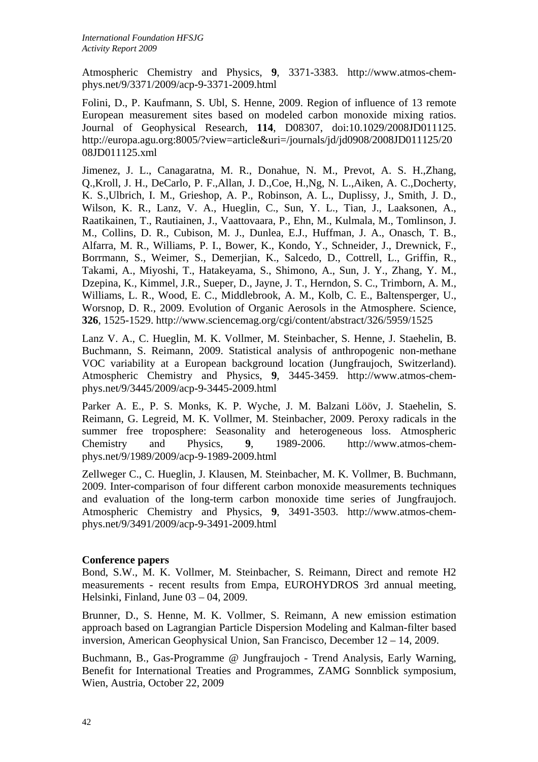Atmospheric Chemistry and Physics, **9**, 3371-3383. http://www.atmos-chemphys.net/9/3371/2009/acp-9-3371-2009.html

Folini, D., P. Kaufmann, S. Ubl, S. Henne, 2009. Region of influence of 13 remote European measurement sites based on modeled carbon monoxide mixing ratios. Journal of Geophysical Research, **114**, D08307, doi:10.1029/2008JD011125. http://europa.agu.org:8005/?view=article&uri=/journals/jd/jd0908/2008JD011125/20 08JD011125.xml

Jimenez, J. L., Canagaratna, M. R., Donahue, N. M., Prevot, A. S. H.,Zhang, Q.,Kroll, J. H., DeCarlo, P. F.,Allan, J. D.,Coe, H.,Ng, N. L.,Aiken, A. C.,Docherty, K. S.,Ulbrich, I. M., Grieshop, A. P., Robinson, A. L., Duplissy, J., Smith, J. D., Wilson, K. R., Lanz, V. A., Hueglin, C., Sun, Y. L., Tian, J., Laaksonen, A., Raatikainen, T., Rautiainen, J., Vaattovaara, P., Ehn, M., Kulmala, M., Tomlinson, J. M., Collins, D. R., Cubison, M. J., Dunlea, E.J., Huffman, J. A., Onasch, T. B., Alfarra, M. R., Williams, P. I., Bower, K., Kondo, Y., Schneider, J., Drewnick, F., Borrmann, S., Weimer, S., Demerjian, K., Salcedo, D., Cottrell, L., Griffin, R., Takami, A., Miyoshi, T., Hatakeyama, S., Shimono, A., Sun, J. Y., Zhang, Y. M., Dzepina, K., Kimmel, J.R., Sueper, D., Jayne, J. T., Herndon, S. C., Trimborn, A. M., Williams, L. R., Wood, E. C., Middlebrook, A. M., Kolb, C. E., Baltensperger, U., Worsnop, D. R., 2009. Evolution of Organic Aerosols in the Atmosphere. Science, **326**, 1525-1529. http://www.sciencemag.org/cgi/content/abstract/326/5959/1525

Lanz V. A., C. Hueglin, M. K. Vollmer, M. Steinbacher, S. Henne, J. Staehelin, B. Buchmann, S. Reimann, 2009. Statistical analysis of anthropogenic non-methane VOC variability at a European background location (Jungfraujoch, Switzerland). Atmospheric Chemistry and Physics, **9**, 3445-3459. http://www.atmos-chemphys.net/9/3445/2009/acp-9-3445-2009.html

Parker A. E., P. S. Monks, K. P. Wyche, J. M. Balzani Lööv, J. Staehelin, S. Reimann, G. Legreid, M. K. Vollmer, M. Steinbacher, 2009. Peroxy radicals in the summer free troposphere: Seasonality and heterogeneous loss. Atmospheric Chemistry and Physics, **9**, 1989-2006. http://www.atmos-chemphys.net/9/1989/2009/acp-9-1989-2009.html

Zellweger C., C. Hueglin, J. Klausen, M. Steinbacher, M. K. Vollmer, B. Buchmann, 2009. Inter-comparison of four different carbon monoxide measurements techniques and evaluation of the long-term carbon monoxide time series of Jungfraujoch. Atmospheric Chemistry and Physics, **9**, 3491-3503. http://www.atmos-chemphys.net/9/3491/2009/acp-9-3491-2009.html

## **Conference papers**

Bond, S.W., M. K. Vollmer, M. Steinbacher, S. Reimann, Direct and remote H2 measurements - recent results from Empa, EUROHYDROS 3rd annual meeting, Helsinki, Finland, June 03 – 04, 2009.

Brunner, D., S. Henne, M. K. Vollmer, S. Reimann, A new emission estimation approach based on Lagrangian Particle Dispersion Modeling and Kalman-filter based inversion, American Geophysical Union, San Francisco, December 12 – 14, 2009.

Buchmann, B., Gas-Programme @ Jungfraujoch - Trend Analysis, Early Warning, Benefit for International Treaties and Programmes, ZAMG Sonnblick symposium, Wien, Austria, October 22, 2009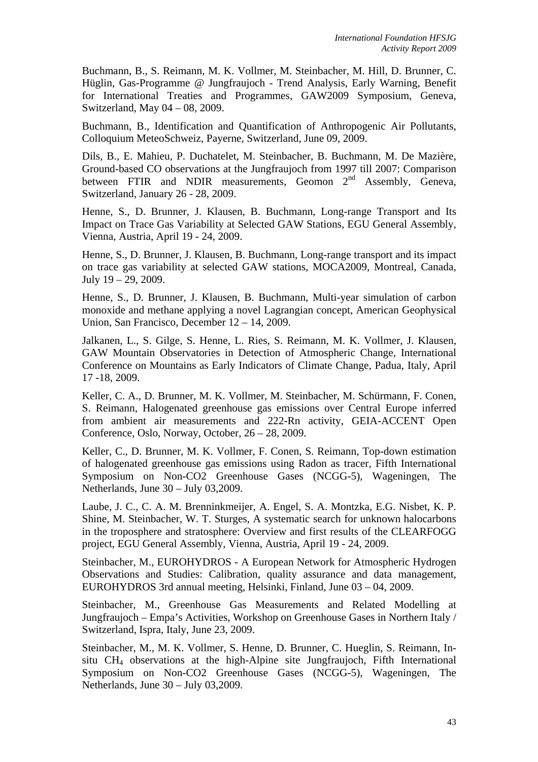Buchmann, B., S. Reimann, M. K. Vollmer, M. Steinbacher, M. Hill, D. Brunner, C. Hüglin, Gas-Programme @ Jungfraujoch - Trend Analysis, Early Warning, Benefit for International Treaties and Programmes, GAW2009 Symposium, Geneva, Switzerland, May 04 – 08, 2009.

Buchmann, B., Identification and Quantification of Anthropogenic Air Pollutants, Colloquium MeteoSchweiz, Payerne, Switzerland, June 09, 2009.

Dils, B., E. Mahieu, P. Duchatelet, M. Steinbacher, B. Buchmann, M. De Mazière, Ground-based CO observations at the Jungfraujoch from 1997 till 2007: Comparison between FTIR and NDIR measurements, Geomon  $2<sup>nd</sup>$  Assembly, Geneva, Switzerland, January 26 - 28, 2009.

Henne, S., D. Brunner, J. Klausen, B. Buchmann, Long-range Transport and Its Impact on Trace Gas Variability at Selected GAW Stations, EGU General Assembly, Vienna, Austria, April 19 - 24, 2009.

Henne, S., D. Brunner, J. Klausen, B. Buchmann, Long-range transport and its impact on trace gas variability at selected GAW stations, MOCA2009, Montreal, Canada, July 19 – 29, 2009.

Henne, S., D. Brunner, J. Klausen, B. Buchmann, Multi-year simulation of carbon monoxide and methane applying a novel Lagrangian concept, American Geophysical Union, San Francisco, December 12 – 14, 2009.

Jalkanen, L., S. Gilge, S. Henne, L. Ries, S. Reimann, M. K. Vollmer, J. Klausen, GAW Mountain Observatories in Detection of Atmospheric Change, International Conference on Mountains as Early Indicators of Climate Change, Padua, Italy, April 17 -18, 2009.

Keller, C. A., D. Brunner, M. K. Vollmer, M. Steinbacher, M. Schürmann, F. Conen, S. Reimann, Halogenated greenhouse gas emissions over Central Europe inferred from ambient air measurements and 222-Rn activity, GEIA-ACCENT Open Conference, Oslo, Norway, October, 26 – 28, 2009.

Keller, C., D. Brunner, M. K. Vollmer, F. Conen, S. Reimann, Top-down estimation of halogenated greenhouse gas emissions using Radon as tracer, Fifth International Symposium on Non-CO2 Greenhouse Gases (NCGG-5), Wageningen, The Netherlands, June 30 – July 03,2009.

Laube, J. C., C. A. M. Brenninkmeijer, A. Engel, S. A. Montzka, E.G. Nisbet, K. P. Shine, M. Steinbacher, W. T. Sturges, A systematic search for unknown halocarbons in the troposphere and stratosphere: Overview and first results of the CLEARFOGG project, EGU General Assembly, Vienna, Austria, April 19 - 24, 2009.

Steinbacher, M., EUROHYDROS - A European Network for Atmospheric Hydrogen Observations and Studies: Calibration, quality assurance and data management, EUROHYDROS 3rd annual meeting, Helsinki, Finland, June 03 – 04, 2009.

Steinbacher, M., Greenhouse Gas Measurements and Related Modelling at Jungfraujoch – Empa's Activities, Workshop on Greenhouse Gases in Northern Italy / Switzerland, Ispra, Italy, June 23, 2009.

Steinbacher, M., M. K. Vollmer, S. Henne, D. Brunner, C. Hueglin, S. Reimann, Insitu CH4 observations at the high-Alpine site Jungfraujoch, Fifth International Symposium on Non-CO2 Greenhouse Gases (NCGG-5), Wageningen, The Netherlands, June 30 – July 03,2009.